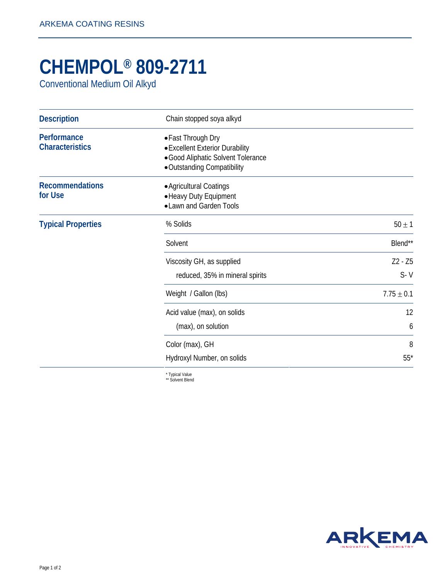## **CHEMPOL® 809-2711**

Conventional Medium Oil Alkyd

| <b>Description</b>                    | Chain stopped soya alkyd                                                                                                   |                |
|---------------------------------------|----------------------------------------------------------------------------------------------------------------------------|----------------|
| Performance<br><b>Characteristics</b> | • Fast Through Dry<br>• Excellent Exterior Durability<br>· Good Aliphatic Solvent Tolerance<br>• Outstanding Compatibility |                |
| <b>Recommendations</b><br>for Use     | • Agricultural Coatings<br>• Heavy Duty Equipment<br>• Lawn and Garden Tools                                               |                |
| <b>Typical Properties</b>             | % Solids                                                                                                                   | $50 \pm 1$     |
|                                       | Solvent                                                                                                                    | Blend**        |
|                                       | Viscosity GH, as supplied                                                                                                  | Z2 - Z5        |
|                                       | reduced, 35% in mineral spirits                                                                                            | $S - V$        |
|                                       | Weight / Gallon (lbs)                                                                                                      | $7.75 \pm 0.1$ |
|                                       | Acid value (max), on solids                                                                                                | 12             |
|                                       | (max), on solution                                                                                                         | 6              |
|                                       | Color (max), GH                                                                                                            | 8              |
|                                       | Hydroxyl Number, on solids                                                                                                 | $55*$          |

\* Typical Value \*\* Solvent Blend